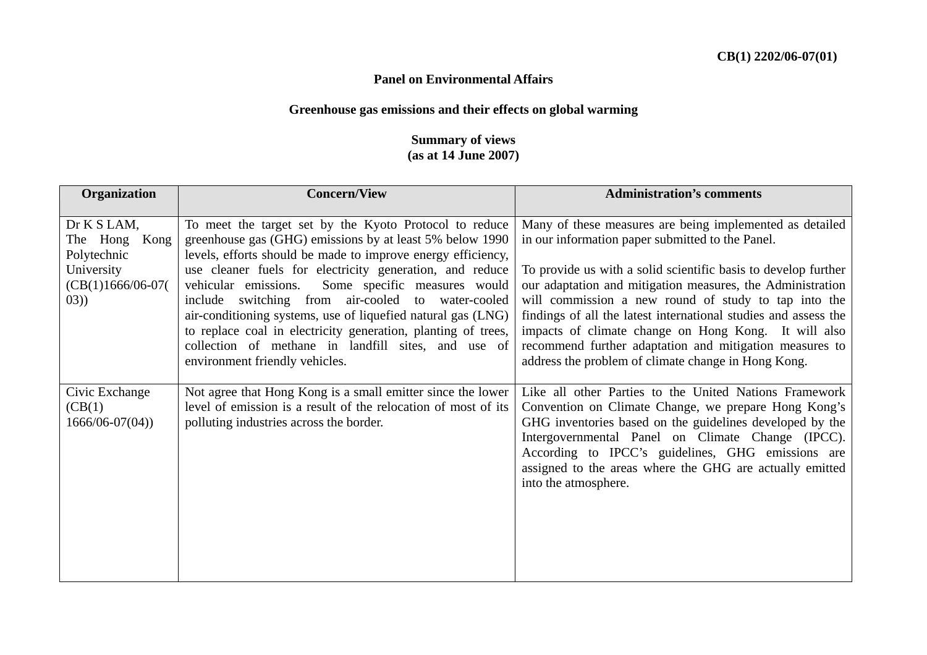## **Panel on Environmental Affairs**

## **Greenhouse gas emissions and their effects on global warming**

## **Summary of views (as at 14 June 2007)**

| Organization                                                                                | <b>Concern/View</b><br><b>Administration's comments</b>                                                                                                                                                                                                                                                                                                                                                                                                                                                                                                                               |                                                                                                                                                                                                                                                                                                                                                                                                                                                                                                                                                   |  |  |
|---------------------------------------------------------------------------------------------|---------------------------------------------------------------------------------------------------------------------------------------------------------------------------------------------------------------------------------------------------------------------------------------------------------------------------------------------------------------------------------------------------------------------------------------------------------------------------------------------------------------------------------------------------------------------------------------|---------------------------------------------------------------------------------------------------------------------------------------------------------------------------------------------------------------------------------------------------------------------------------------------------------------------------------------------------------------------------------------------------------------------------------------------------------------------------------------------------------------------------------------------------|--|--|
| Dr K S LAM,<br>The Hong<br>Kong<br>Polytechnic<br>University<br>$(CB(1)1666/06-07($<br>(03) | To meet the target set by the Kyoto Protocol to reduce<br>greenhouse gas (GHG) emissions by at least 5% below 1990<br>levels, efforts should be made to improve energy efficiency,<br>use cleaner fuels for electricity generation, and reduce<br>vehicular emissions.<br>Some specific measures would<br>include switching from air-cooled to water-cooled<br>air-conditioning systems, use of liquefied natural gas (LNG)<br>to replace coal in electricity generation, planting of trees,<br>collection of methane in landfill sites, and use of<br>environment friendly vehicles. | Many of these measures are being implemented as detailed<br>in our information paper submitted to the Panel.<br>To provide us with a solid scientific basis to develop further<br>our adaptation and mitigation measures, the Administration<br>will commission a new round of study to tap into the<br>findings of all the latest international studies and assess the<br>impacts of climate change on Hong Kong. It will also<br>recommend further adaptation and mitigation measures to<br>address the problem of climate change in Hong Kong. |  |  |
| Civic Exchange<br>(CB(1))<br>$1666/06-07(04)$                                               | Not agree that Hong Kong is a small emitter since the lower<br>level of emission is a result of the relocation of most of its<br>polluting industries across the border.                                                                                                                                                                                                                                                                                                                                                                                                              | Like all other Parties to the United Nations Framework<br>Convention on Climate Change, we prepare Hong Kong's<br>GHG inventories based on the guidelines developed by the<br>Intergovernmental Panel on Climate Change (IPCC).<br>According to IPCC's guidelines, GHG emissions are<br>assigned to the areas where the GHG are actually emitted<br>into the atmosphere.                                                                                                                                                                          |  |  |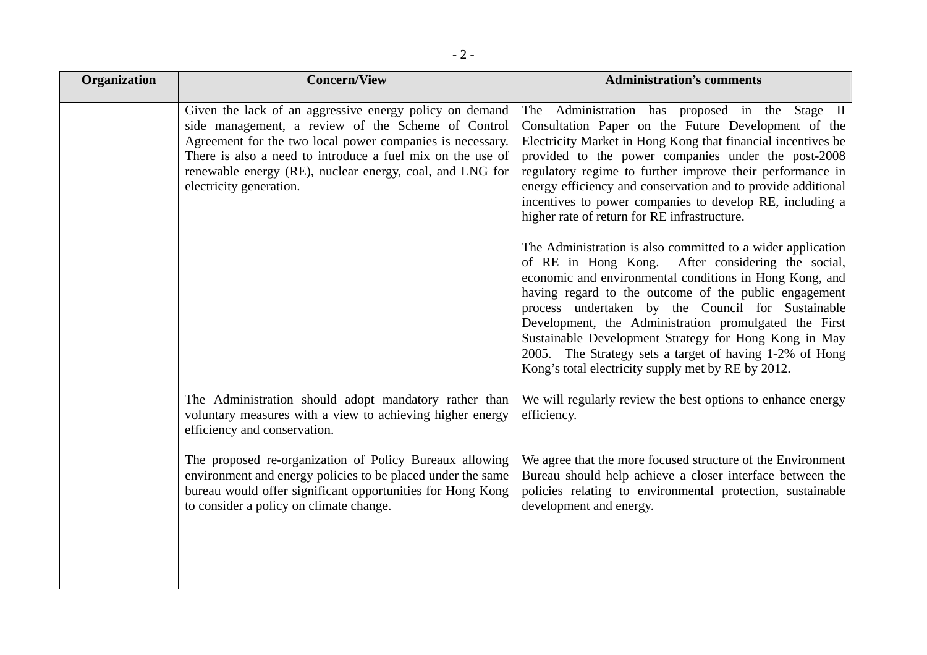| <b>Concern/View</b>                                                                                                                                                                                                                                                                                                             | <b>Administration's comments</b>                                                                                                                                                                                                                                                                                                                                                                                                                                                                                                                                                                                                                      |
|---------------------------------------------------------------------------------------------------------------------------------------------------------------------------------------------------------------------------------------------------------------------------------------------------------------------------------|-------------------------------------------------------------------------------------------------------------------------------------------------------------------------------------------------------------------------------------------------------------------------------------------------------------------------------------------------------------------------------------------------------------------------------------------------------------------------------------------------------------------------------------------------------------------------------------------------------------------------------------------------------|
| Given the lack of an aggressive energy policy on demand<br>side management, a review of the Scheme of Control<br>Agreement for the two local power companies is necessary.<br>There is also a need to introduce a fuel mix on the use of<br>renewable energy (RE), nuclear energy, coal, and LNG for<br>electricity generation. | The Administration has proposed in the Stage II<br>Consultation Paper on the Future Development of the<br>Electricity Market in Hong Kong that financial incentives be<br>provided to the power companies under the post-2008<br>regulatory regime to further improve their performance in<br>energy efficiency and conservation and to provide additional<br>incentives to power companies to develop RE, including a<br>higher rate of return for RE infrastructure.<br>The Administration is also committed to a wider application<br>of RE in Hong Kong. After considering the social,<br>economic and environmental conditions in Hong Kong, and |
|                                                                                                                                                                                                                                                                                                                                 | having regard to the outcome of the public engagement<br>process undertaken by the Council for Sustainable<br>Development, the Administration promulgated the First<br>Sustainable Development Strategy for Hong Kong in May<br>2005. The Strategy sets a target of having 1-2% of Hong<br>Kong's total electricity supply met by RE by 2012.                                                                                                                                                                                                                                                                                                         |
| The Administration should adopt mandatory rather than<br>voluntary measures with a view to achieving higher energy<br>efficiency and conservation.                                                                                                                                                                              | We will regularly review the best options to enhance energy<br>efficiency.                                                                                                                                                                                                                                                                                                                                                                                                                                                                                                                                                                            |
| The proposed re-organization of Policy Bureaux allowing<br>environment and energy policies to be placed under the same<br>bureau would offer significant opportunities for Hong Kong<br>to consider a policy on climate change.                                                                                                 | We agree that the more focused structure of the Environment<br>Bureau should help achieve a closer interface between the<br>policies relating to environmental protection, sustainable<br>development and energy.                                                                                                                                                                                                                                                                                                                                                                                                                                     |
|                                                                                                                                                                                                                                                                                                                                 |                                                                                                                                                                                                                                                                                                                                                                                                                                                                                                                                                                                                                                                       |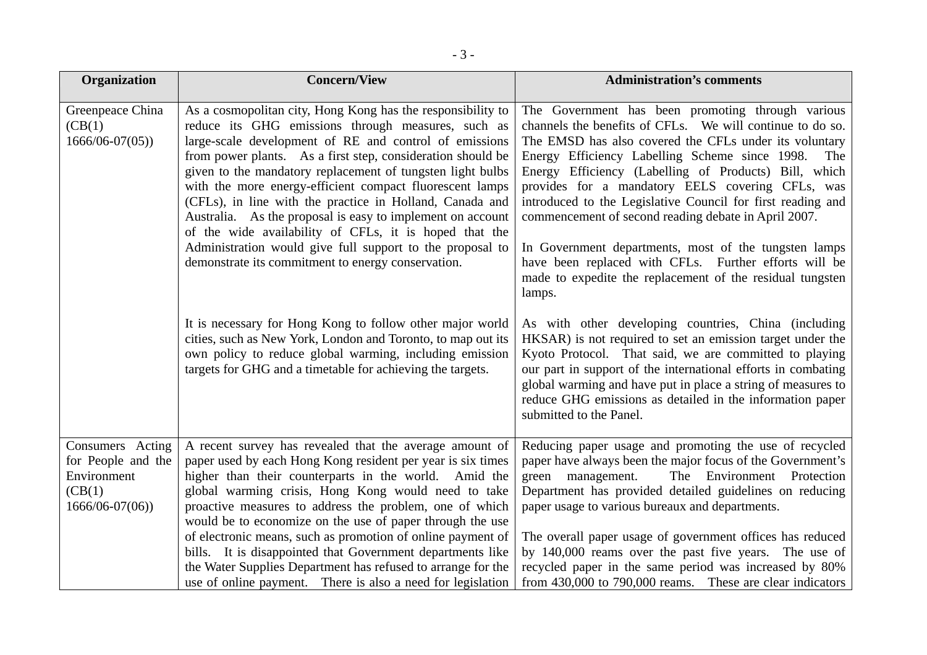| Organization                                                                           | <b>Concern/View</b>                                                                                                                                                                                                                                                                                                                                                                                                                                                                                                                                                                                                                                                         | <b>Administration's comments</b>                                                                                                                                                                                                                                                                                                                                                                                                                                                                                                                                                                                                                        |  |
|----------------------------------------------------------------------------------------|-----------------------------------------------------------------------------------------------------------------------------------------------------------------------------------------------------------------------------------------------------------------------------------------------------------------------------------------------------------------------------------------------------------------------------------------------------------------------------------------------------------------------------------------------------------------------------------------------------------------------------------------------------------------------------|---------------------------------------------------------------------------------------------------------------------------------------------------------------------------------------------------------------------------------------------------------------------------------------------------------------------------------------------------------------------------------------------------------------------------------------------------------------------------------------------------------------------------------------------------------------------------------------------------------------------------------------------------------|--|
| Greenpeace China<br>(CB(1))<br>$1666/06 - 07(05)$                                      | As a cosmopolitan city, Hong Kong has the responsibility to<br>reduce its GHG emissions through measures, such as<br>large-scale development of RE and control of emissions<br>from power plants. As a first step, consideration should be<br>given to the mandatory replacement of tungsten light bulbs<br>with the more energy-efficient compact fluorescent lamps<br>(CFLs), in line with the practice in Holland, Canada and<br>Australia. As the proposal is easy to implement on account<br>of the wide availability of CFLs, it is hoped that the<br>Administration would give full support to the proposal to<br>demonstrate its commitment to energy conservation. | The Government has been promoting through various<br>channels the benefits of CFLs. We will continue to do so.<br>The EMSD has also covered the CFLs under its voluntary<br>Energy Efficiency Labelling Scheme since 1998.<br>Energy Efficiency (Labelling of Products) Bill, which<br>provides for a mandatory EELS covering CFLs, was<br>introduced to the Legislative Council for first reading and<br>commencement of second reading debate in April 2007.<br>In Government departments, most of the tungsten lamps<br>have been replaced with CFLs. Further efforts will be<br>made to expedite the replacement of the residual tungsten<br>lamps. |  |
|                                                                                        | It is necessary for Hong Kong to follow other major world<br>cities, such as New York, London and Toronto, to map out its<br>own policy to reduce global warming, including emission<br>targets for GHG and a timetable for achieving the targets.                                                                                                                                                                                                                                                                                                                                                                                                                          | As with other developing countries, China (including<br>HKSAR) is not required to set an emission target under the<br>Kyoto Protocol. That said, we are committed to playing<br>our part in support of the international efforts in combating<br>global warming and have put in place a string of measures to<br>reduce GHG emissions as detailed in the information paper<br>submitted to the Panel.                                                                                                                                                                                                                                                   |  |
| Consumers Acting<br>for People and the<br>Environment<br>(CB(1))<br>$1666/06 - 07(06)$ | A recent survey has revealed that the average amount of<br>paper used by each Hong Kong resident per year is six times<br>higher than their counterparts in the world. Amid the<br>global warming crisis, Hong Kong would need to take<br>proactive measures to address the problem, one of which<br>would be to economize on the use of paper through the use<br>of electronic means, such as promotion of online payment of<br>bills. It is disappointed that Government departments like<br>the Water Supplies Department has refused to arrange for the<br>use of online payment. There is also a need for legislation                                                  | Reducing paper usage and promoting the use of recycled<br>paper have always been the major focus of the Government's<br>The Environment<br>green management.<br>Protection<br>Department has provided detailed guidelines on reducing<br>paper usage to various bureaux and departments.<br>The overall paper usage of government offices has reduced<br>by 140,000 reams over the past five years. The use of<br>recycled paper in the same period was increased by 80%<br>from 430,000 to 790,000 reams. These are clear indicators                                                                                                                   |  |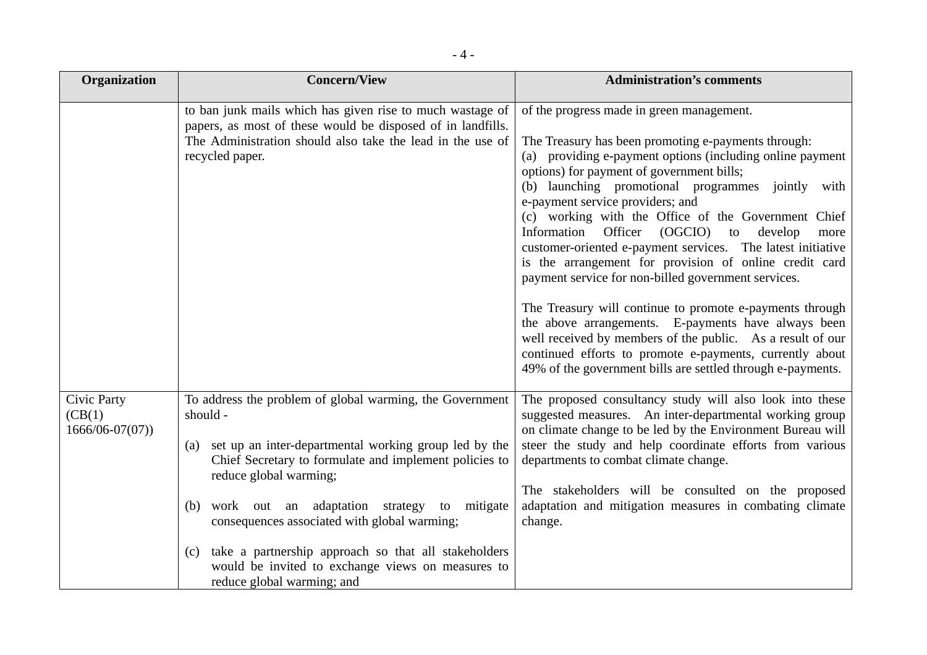| Organization                                        | <b>Concern/View</b>                                                                                                                                                                                                                                                                                                                                                                                                                                                                 | <b>Administration's comments</b>                                                                                                                                                                                                                                                                                                                                                                                                                                                                                                                                                                                                                                                                                                                                                                                                                                                                               |  |
|-----------------------------------------------------|-------------------------------------------------------------------------------------------------------------------------------------------------------------------------------------------------------------------------------------------------------------------------------------------------------------------------------------------------------------------------------------------------------------------------------------------------------------------------------------|----------------------------------------------------------------------------------------------------------------------------------------------------------------------------------------------------------------------------------------------------------------------------------------------------------------------------------------------------------------------------------------------------------------------------------------------------------------------------------------------------------------------------------------------------------------------------------------------------------------------------------------------------------------------------------------------------------------------------------------------------------------------------------------------------------------------------------------------------------------------------------------------------------------|--|
|                                                     | to ban junk mails which has given rise to much wastage of<br>papers, as most of these would be disposed of in landfills.<br>The Administration should also take the lead in the use of<br>recycled paper.                                                                                                                                                                                                                                                                           | of the progress made in green management.<br>The Treasury has been promoting e-payments through:<br>(a) providing e-payment options (including online payment<br>options) for payment of government bills;<br>(b) launching promotional programmes jointly with<br>e-payment service providers; and<br>(c) working with the Office of the Government Chief<br>Information Officer (OGCIO)<br>to<br>develop<br>more<br>customer-oriented e-payment services. The latest initiative<br>is the arrangement for provision of online credit card<br>payment service for non-billed government services.<br>The Treasury will continue to promote e-payments through<br>the above arrangements. E-payments have always been<br>well received by members of the public. As a result of our<br>continued efforts to promote e-payments, currently about<br>49% of the government bills are settled through e-payments. |  |
| <b>Civic Party</b><br>(CB(1))<br>$1666/06 - 07(07)$ | To address the problem of global warming, the Government<br>should -<br>set up an inter-departmental working group led by the<br>(a)<br>Chief Secretary to formulate and implement policies to<br>reduce global warming;<br>work out an adaptation strategy<br>to mitigate<br>(b)<br>consequences associated with global warming;<br>take a partnership approach so that all stakeholders<br>(c)<br>would be invited to exchange views on measures to<br>reduce global warming; and | The proposed consultancy study will also look into these<br>suggested measures. An inter-departmental working group<br>on climate change to be led by the Environment Bureau will<br>steer the study and help coordinate efforts from various<br>departments to combat climate change.<br>The stakeholders will be consulted on the proposed<br>adaptation and mitigation measures in combating climate<br>change.                                                                                                                                                                                                                                                                                                                                                                                                                                                                                             |  |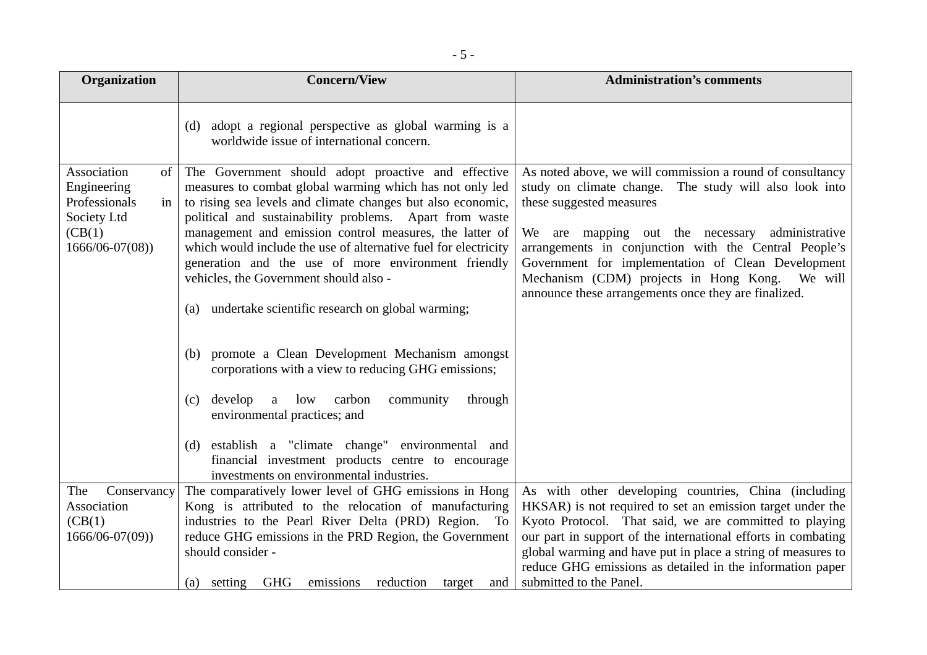| Organization                                                                      | <b>Concern/View</b>                                                                                                                                                                                                                                                                                  | <b>Administration's comments</b>                                                                                                                                                                                      |
|-----------------------------------------------------------------------------------|------------------------------------------------------------------------------------------------------------------------------------------------------------------------------------------------------------------------------------------------------------------------------------------------------|-----------------------------------------------------------------------------------------------------------------------------------------------------------------------------------------------------------------------|
|                                                                                   | adopt a regional perspective as global warming is a<br>(d)<br>worldwide issue of international concern.                                                                                                                                                                                              |                                                                                                                                                                                                                       |
| Association<br>of<br>Engineering<br>Professionals<br>in<br>Society Ltd<br>(CB(1)) | The Government should adopt proactive and effective<br>measures to combat global warming which has not only led<br>to rising sea levels and climate changes but also economic,<br>political and sustainability problems. Apart from waste<br>management and emission control measures, the latter of | As noted above, we will commission a round of consultancy<br>study on climate change. The study will also look into<br>these suggested measures<br>We are mapping out the necessary<br>administrative                 |
| $1666/06 - 07(08)$                                                                | which would include the use of alternative fuel for electricity<br>generation and the use of more environment friendly<br>vehicles, the Government should also -                                                                                                                                     | arrangements in conjunction with the Central People's<br>Government for implementation of Clean Development<br>Mechanism (CDM) projects in Hong Kong. We will<br>announce these arrangements once they are finalized. |
|                                                                                   | (a) undertake scientific research on global warming;                                                                                                                                                                                                                                                 |                                                                                                                                                                                                                       |
|                                                                                   | promote a Clean Development Mechanism amongst<br>(b)<br>corporations with a view to reducing GHG emissions;                                                                                                                                                                                          |                                                                                                                                                                                                                       |
|                                                                                   | develop<br>carbon<br>a low<br>community<br>through<br>(c)<br>environmental practices; and                                                                                                                                                                                                            |                                                                                                                                                                                                                       |
|                                                                                   | (d) establish a "climate change" environmental and<br>financial investment products centre to encourage<br>investments on environmental industries.                                                                                                                                                  |                                                                                                                                                                                                                       |
| Conservancy<br>The                                                                | The comparatively lower level of GHG emissions in Hong                                                                                                                                                                                                                                               | As with other developing countries, China (including                                                                                                                                                                  |
| Association                                                                       | Kong is attributed to the relocation of manufacturing                                                                                                                                                                                                                                                | HKSAR) is not required to set an emission target under the                                                                                                                                                            |
| (CB(1)                                                                            | industries to the Pearl River Delta (PRD) Region. To                                                                                                                                                                                                                                                 | Kyoto Protocol. That said, we are committed to playing                                                                                                                                                                |
| $1666/06 - 07(09)$                                                                | reduce GHG emissions in the PRD Region, the Government                                                                                                                                                                                                                                               | our part in support of the international efforts in combating                                                                                                                                                         |
|                                                                                   | should consider -                                                                                                                                                                                                                                                                                    | global warming and have put in place a string of measures to                                                                                                                                                          |
|                                                                                   |                                                                                                                                                                                                                                                                                                      | reduce GHG emissions as detailed in the information paper                                                                                                                                                             |
|                                                                                   | (a) setting GHG<br>emissions<br>reduction<br>target<br>and                                                                                                                                                                                                                                           | submitted to the Panel.                                                                                                                                                                                               |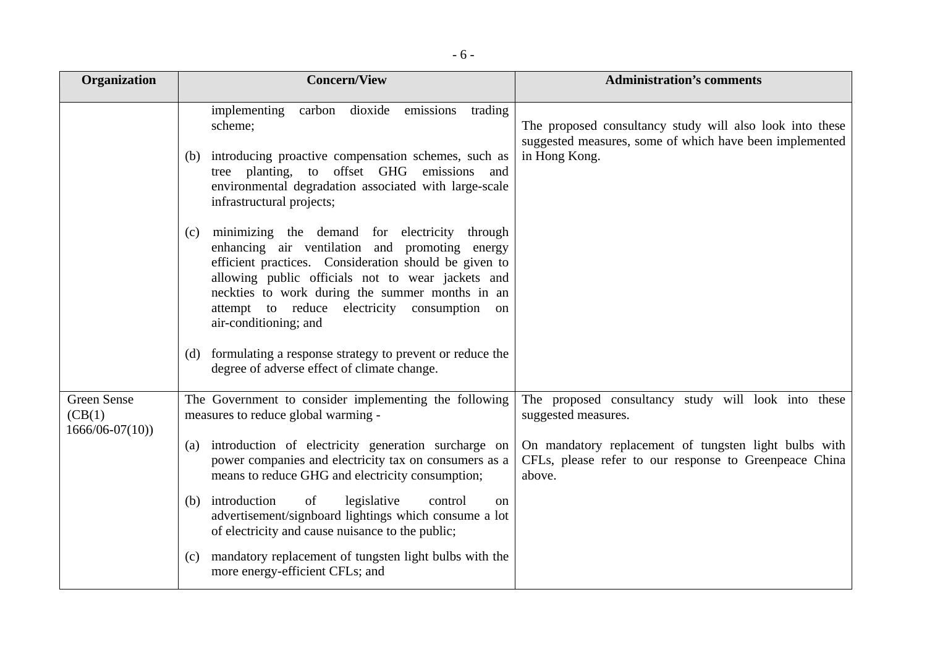| <b>Organization</b>          | <b>Concern/View</b>                                                                                                                                                                                                                                                                                                                                                                                                                                                | <b>Administration's comments</b>                                                                                                     |
|------------------------------|--------------------------------------------------------------------------------------------------------------------------------------------------------------------------------------------------------------------------------------------------------------------------------------------------------------------------------------------------------------------------------------------------------------------------------------------------------------------|--------------------------------------------------------------------------------------------------------------------------------------|
|                              | carbon dioxide emissions<br>implementing<br>trading<br>scheme;<br>(b) introducing proactive compensation schemes, such as<br>tree planting, to offset GHG emissions and<br>environmental degradation associated with large-scale<br>infrastructural projects;                                                                                                                                                                                                      | The proposed consultancy study will also look into these<br>suggested measures, some of which have been implemented<br>in Hong Kong. |
|                              | minimizing the demand for electricity through<br>(c)<br>enhancing air ventilation and promoting energy<br>efficient practices. Consideration should be given to<br>allowing public officials not to wear jackets and<br>neckties to work during the summer months in an<br>attempt to reduce electricity consumption<br>on<br>air-conditioning; and<br>(d) formulating a response strategy to prevent or reduce the<br>degree of adverse effect of climate change. |                                                                                                                                      |
| <b>Green Sense</b>           | The Government to consider implementing the following                                                                                                                                                                                                                                                                                                                                                                                                              | The proposed consultancy study will look into these                                                                                  |
| (CB(1)<br>$1666/06 - 07(10)$ | measures to reduce global warming -                                                                                                                                                                                                                                                                                                                                                                                                                                | suggested measures.                                                                                                                  |
|                              | introduction of electricity generation surcharge on<br>(a)<br>power companies and electricity tax on consumers as a<br>means to reduce GHG and electricity consumption;                                                                                                                                                                                                                                                                                            | On mandatory replacement of tungsten light bulbs with<br>CFLs, please refer to our response to Greenpeace China<br>above.            |
|                              | (b) introduction<br>legislative<br>of<br>control<br>on<br>advertisement/signboard lightings which consume a lot<br>of electricity and cause nuisance to the public;                                                                                                                                                                                                                                                                                                |                                                                                                                                      |
|                              | mandatory replacement of tungsten light bulbs with the<br>(c)<br>more energy-efficient CFLs; and                                                                                                                                                                                                                                                                                                                                                                   |                                                                                                                                      |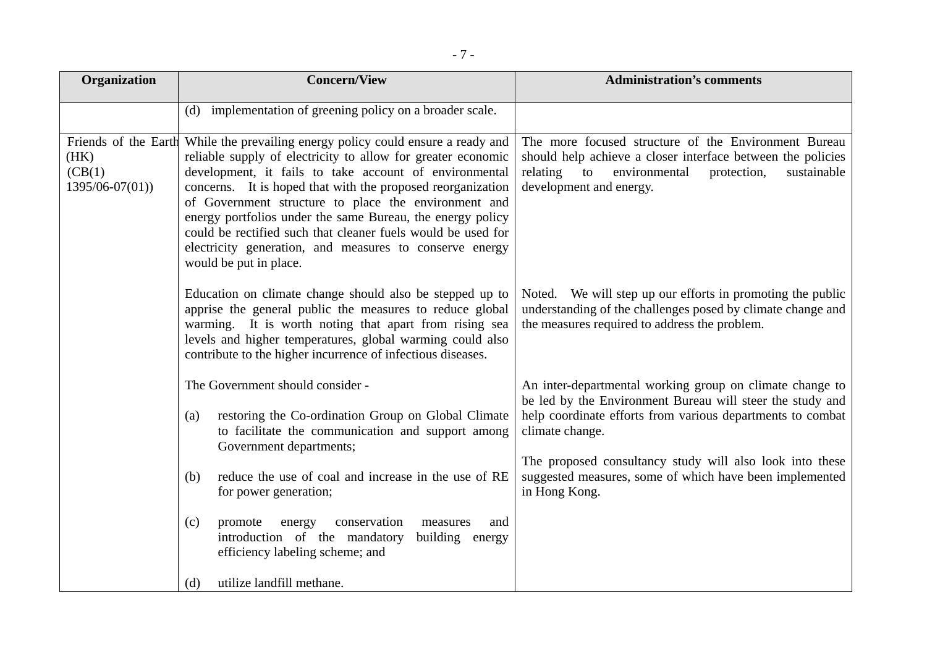| Organization                                                | <b>Concern/View</b>                                                                                                                                                                                                                                                                                                                                                                                                                                                                                                             | <b>Administration's comments</b>                                                                                                                                                                                                                                                                                                               |
|-------------------------------------------------------------|---------------------------------------------------------------------------------------------------------------------------------------------------------------------------------------------------------------------------------------------------------------------------------------------------------------------------------------------------------------------------------------------------------------------------------------------------------------------------------------------------------------------------------|------------------------------------------------------------------------------------------------------------------------------------------------------------------------------------------------------------------------------------------------------------------------------------------------------------------------------------------------|
|                                                             | (d) implementation of greening policy on a broader scale.                                                                                                                                                                                                                                                                                                                                                                                                                                                                       |                                                                                                                                                                                                                                                                                                                                                |
| Friends of the Earth<br>(HK)<br>(CB(1))<br>$1395/06-07(01)$ | While the prevailing energy policy could ensure a ready and<br>reliable supply of electricity to allow for greater economic<br>development, it fails to take account of environmental<br>concerns. It is hoped that with the proposed reorganization<br>of Government structure to place the environment and<br>energy portfolios under the same Bureau, the energy policy<br>could be rectified such that cleaner fuels would be used for<br>electricity generation, and measures to conserve energy<br>would be put in place. | The more focused structure of the Environment Bureau<br>should help achieve a closer interface between the policies<br>relating<br>to<br>environmental<br>protection,<br>sustainable<br>development and energy.                                                                                                                                |
|                                                             | Education on climate change should also be stepped up to<br>apprise the general public the measures to reduce global<br>warming. It is worth noting that apart from rising sea<br>levels and higher temperatures, global warming could also<br>contribute to the higher incurrence of infectious diseases.                                                                                                                                                                                                                      | Noted. We will step up our efforts in promoting the public<br>understanding of the challenges posed by climate change and<br>the measures required to address the problem.                                                                                                                                                                     |
|                                                             | The Government should consider -<br>restoring the Co-ordination Group on Global Climate<br>(a)<br>to facilitate the communication and support among<br>Government departments;<br>reduce the use of coal and increase in the use of RE<br>(b)<br>for power generation;<br>conservation<br>(c)<br>promote<br>and<br>energy<br>measures<br>introduction of the mandatory<br>building energy<br>efficiency labeling scheme; and                                                                                                    | An inter-departmental working group on climate change to<br>be led by the Environment Bureau will steer the study and<br>help coordinate efforts from various departments to combat<br>climate change.<br>The proposed consultancy study will also look into these<br>suggested measures, some of which have been implemented<br>in Hong Kong. |
|                                                             | utilize landfill methane.<br>(d)                                                                                                                                                                                                                                                                                                                                                                                                                                                                                                |                                                                                                                                                                                                                                                                                                                                                |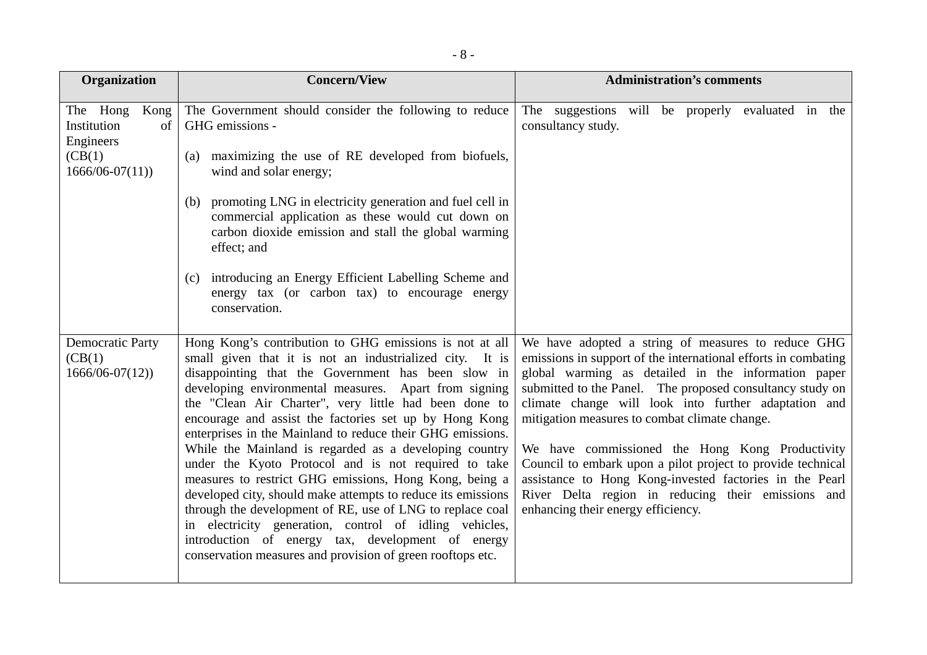| Organization                                                                       | <b>Concern/View</b>                                                                                                                                                                                                                                                                                                                                                                                                                                                                                                                                                                                                                                                                                                                                                                                                                                                                                       | <b>Administration's comments</b>                                                                                                                                                                                                                                                                                                                                                                                                                                                                                                                                                                                           |  |  |
|------------------------------------------------------------------------------------|-----------------------------------------------------------------------------------------------------------------------------------------------------------------------------------------------------------------------------------------------------------------------------------------------------------------------------------------------------------------------------------------------------------------------------------------------------------------------------------------------------------------------------------------------------------------------------------------------------------------------------------------------------------------------------------------------------------------------------------------------------------------------------------------------------------------------------------------------------------------------------------------------------------|----------------------------------------------------------------------------------------------------------------------------------------------------------------------------------------------------------------------------------------------------------------------------------------------------------------------------------------------------------------------------------------------------------------------------------------------------------------------------------------------------------------------------------------------------------------------------------------------------------------------------|--|--|
| The Hong<br>Kong<br>Institution<br>of<br>Engineers<br>(CB(1)<br>$1666/06 - 07(11)$ | The Government should consider the following to reduce<br>GHG emissions -<br>maximizing the use of RE developed from biofuels,<br>(a)<br>wind and solar energy;                                                                                                                                                                                                                                                                                                                                                                                                                                                                                                                                                                                                                                                                                                                                           | The suggestions will be properly evaluated in the<br>consultancy study.                                                                                                                                                                                                                                                                                                                                                                                                                                                                                                                                                    |  |  |
|                                                                                    | promoting LNG in electricity generation and fuel cell in<br>(b)<br>commercial application as these would cut down on<br>carbon dioxide emission and stall the global warming<br>effect; and                                                                                                                                                                                                                                                                                                                                                                                                                                                                                                                                                                                                                                                                                                               |                                                                                                                                                                                                                                                                                                                                                                                                                                                                                                                                                                                                                            |  |  |
|                                                                                    | introducing an Energy Efficient Labelling Scheme and<br>(c)<br>energy tax (or carbon tax) to encourage energy<br>conservation.                                                                                                                                                                                                                                                                                                                                                                                                                                                                                                                                                                                                                                                                                                                                                                            |                                                                                                                                                                                                                                                                                                                                                                                                                                                                                                                                                                                                                            |  |  |
| <b>Democratic Party</b><br>(CB(1)<br>$1666/06 - 07(12)$                            | Hong Kong's contribution to GHG emissions is not at all<br>small given that it is not an industrialized city. It is<br>disappointing that the Government has been slow in<br>developing environmental measures. Apart from signing<br>the "Clean Air Charter", very little had been done to<br>encourage and assist the factories set up by Hong Kong<br>enterprises in the Mainland to reduce their GHG emissions.<br>While the Mainland is regarded as a developing country<br>under the Kyoto Protocol and is not required to take<br>measures to restrict GHG emissions, Hong Kong, being a<br>developed city, should make attempts to reduce its emissions<br>through the development of RE, use of LNG to replace coal<br>in electricity generation, control of idling vehicles,<br>introduction of energy tax, development of energy<br>conservation measures and provision of green rooftops etc. | We have adopted a string of measures to reduce GHG<br>emissions in support of the international efforts in combating<br>global warming as detailed in the information paper<br>submitted to the Panel. The proposed consultancy study on<br>climate change will look into further adaptation and<br>mitigation measures to combat climate change.<br>We have commissioned the Hong Kong Productivity<br>Council to embark upon a pilot project to provide technical<br>assistance to Hong Kong-invested factories in the Pearl<br>River Delta region in reducing their emissions and<br>enhancing their energy efficiency. |  |  |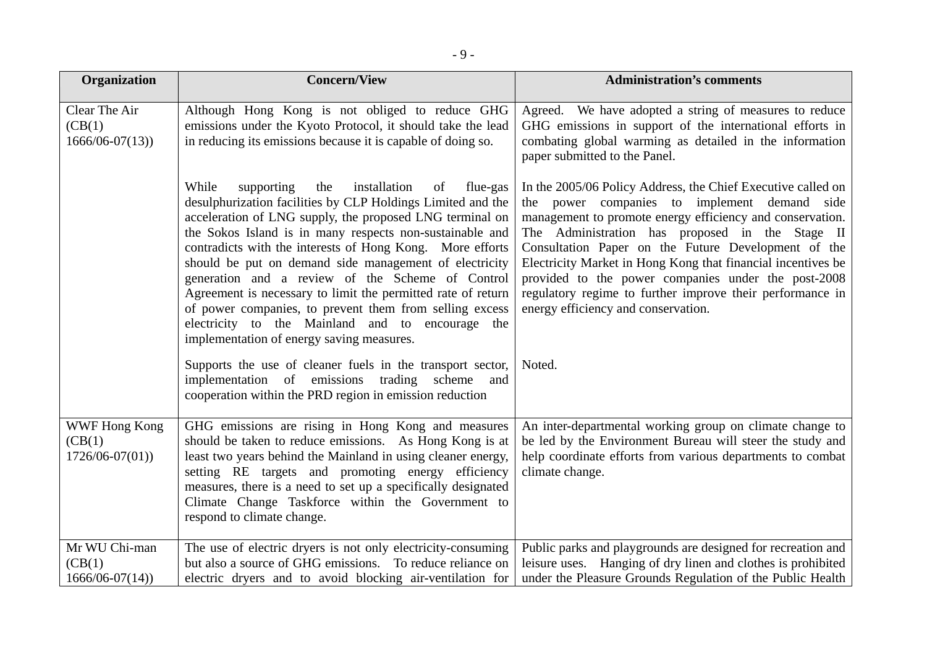| <b>Organization</b>                                | <b>Concern/View</b>                                                                                                                                                                                                                                                                                                                                                                                                                                                                                                                                                                                                                                                                                                                                                        | <b>Administration's comments</b>                                                                                                                                                                                                                                                                                                                                                                                                                                                                                         |  |
|----------------------------------------------------|----------------------------------------------------------------------------------------------------------------------------------------------------------------------------------------------------------------------------------------------------------------------------------------------------------------------------------------------------------------------------------------------------------------------------------------------------------------------------------------------------------------------------------------------------------------------------------------------------------------------------------------------------------------------------------------------------------------------------------------------------------------------------|--------------------------------------------------------------------------------------------------------------------------------------------------------------------------------------------------------------------------------------------------------------------------------------------------------------------------------------------------------------------------------------------------------------------------------------------------------------------------------------------------------------------------|--|
| Clear The Air<br>(CB(1))<br>$1666/06 - 07(13)$     | Although Hong Kong is not obliged to reduce GHG<br>emissions under the Kyoto Protocol, it should take the lead<br>in reducing its emissions because it is capable of doing so.                                                                                                                                                                                                                                                                                                                                                                                                                                                                                                                                                                                             | Agreed. We have adopted a string of measures to reduce<br>GHG emissions in support of the international efforts in<br>combating global warming as detailed in the information<br>paper submitted to the Panel.                                                                                                                                                                                                                                                                                                           |  |
|                                                    | While<br>installation<br>supporting<br>the<br>of<br>flue-gas<br>desulphurization facilities by CLP Holdings Limited and the<br>acceleration of LNG supply, the proposed LNG terminal on<br>the Sokos Island is in many respects non-sustainable and<br>contradicts with the interests of Hong Kong. More efforts<br>should be put on demand side management of electricity<br>generation and a review of the Scheme of Control<br>Agreement is necessary to limit the permitted rate of return<br>of power companies, to prevent them from selling excess<br>electricity to the Mainland and to encourage the<br>implementation of energy saving measures.<br>Supports the use of cleaner fuels in the transport sector,<br>implementation of emissions trading scheme and | In the 2005/06 Policy Address, the Chief Executive called on<br>the power companies to implement demand side<br>management to promote energy efficiency and conservation.<br>The Administration has proposed in the Stage II<br>Consultation Paper on the Future Development of the<br>Electricity Market in Hong Kong that financial incentives be<br>provided to the power companies under the post-2008<br>regulatory regime to further improve their performance in<br>energy efficiency and conservation.<br>Noted. |  |
|                                                    | cooperation within the PRD region in emission reduction                                                                                                                                                                                                                                                                                                                                                                                                                                                                                                                                                                                                                                                                                                                    |                                                                                                                                                                                                                                                                                                                                                                                                                                                                                                                          |  |
| <b>WWF Hong Kong</b><br>(CB(1)<br>$1726/06-07(01)$ | GHG emissions are rising in Hong Kong and measures<br>should be taken to reduce emissions. As Hong Kong is at<br>least two years behind the Mainland in using cleaner energy,<br>setting RE targets and promoting energy efficiency<br>measures, there is a need to set up a specifically designated<br>Climate Change Taskforce within the Government to<br>respond to climate change.                                                                                                                                                                                                                                                                                                                                                                                    | An inter-departmental working group on climate change to<br>be led by the Environment Bureau will steer the study and<br>help coordinate efforts from various departments to combat<br>climate change.                                                                                                                                                                                                                                                                                                                   |  |
| Mr WU Chi-man<br>(CB(1)<br>$1666/06 - 07(14)$      | The use of electric dryers is not only electricity-consuming<br>but also a source of GHG emissions. To reduce reliance on<br>electric dryers and to avoid blocking air-ventilation for                                                                                                                                                                                                                                                                                                                                                                                                                                                                                                                                                                                     | Public parks and playgrounds are designed for recreation and<br>leisure uses. Hanging of dry linen and clothes is prohibited<br>under the Pleasure Grounds Regulation of the Public Health                                                                                                                                                                                                                                                                                                                               |  |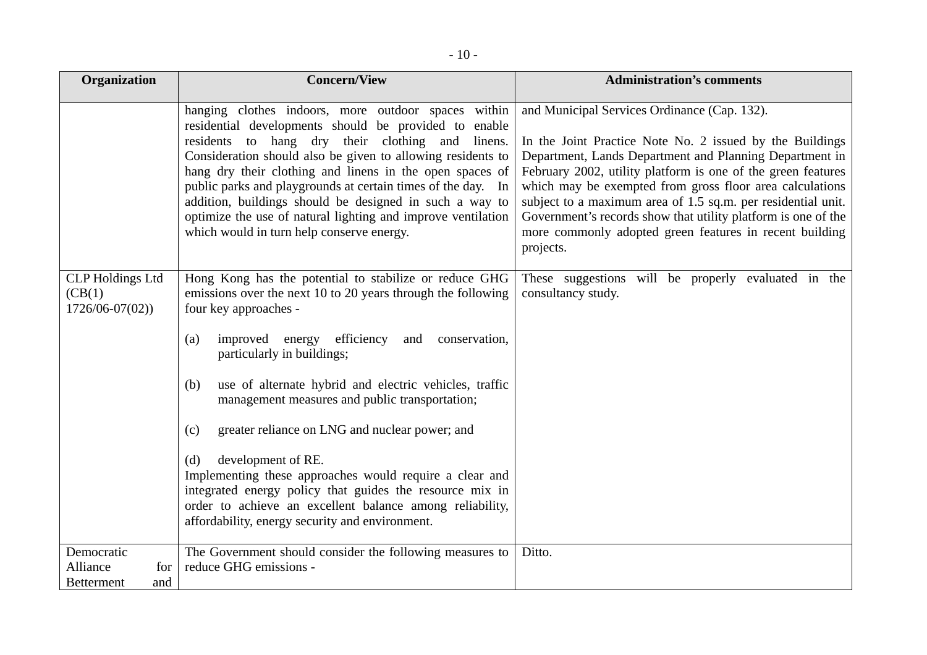| Organization                                              | <b>Concern/View</b>                                                                                                                                                                                                                                                                                                                                                                                                                                                                                                                                                                                                                                                                          | <b>Administration's comments</b>                                                                                                                                                                                                                                                                                                                                                                                                                                                                         |  |
|-----------------------------------------------------------|----------------------------------------------------------------------------------------------------------------------------------------------------------------------------------------------------------------------------------------------------------------------------------------------------------------------------------------------------------------------------------------------------------------------------------------------------------------------------------------------------------------------------------------------------------------------------------------------------------------------------------------------------------------------------------------------|----------------------------------------------------------------------------------------------------------------------------------------------------------------------------------------------------------------------------------------------------------------------------------------------------------------------------------------------------------------------------------------------------------------------------------------------------------------------------------------------------------|--|
|                                                           | hanging clothes indoors, more outdoor spaces within<br>residential developments should be provided to enable<br>residents to hang dry their clothing and linens.<br>Consideration should also be given to allowing residents to<br>hang dry their clothing and linens in the open spaces of<br>public parks and playgrounds at certain times of the day. In<br>addition, buildings should be designed in such a way to<br>optimize the use of natural lighting and improve ventilation<br>which would in turn help conserve energy.                                                                                                                                                          | and Municipal Services Ordinance (Cap. 132).<br>In the Joint Practice Note No. 2 issued by the Buildings<br>Department, Lands Department and Planning Department in<br>February 2002, utility platform is one of the green features<br>which may be exempted from gross floor area calculations<br>subject to a maximum area of 1.5 sq.m. per residential unit.<br>Government's records show that utility platform is one of the<br>more commonly adopted green features in recent building<br>projects. |  |
| <b>CLP</b> Holdings Ltd<br>(CB(1))<br>$1726/06-07(02)$    | Hong Kong has the potential to stabilize or reduce GHG<br>emissions over the next 10 to 20 years through the following<br>four key approaches -<br>efficiency<br>improved energy<br>and<br>conservation,<br>(a)<br>particularly in buildings;<br>use of alternate hybrid and electric vehicles, traffic<br>(b)<br>management measures and public transportation;<br>greater reliance on LNG and nuclear power; and<br>(c)<br>development of RE.<br>(d)<br>Implementing these approaches would require a clear and<br>integrated energy policy that guides the resource mix in<br>order to achieve an excellent balance among reliability,<br>affordability, energy security and environment. | These suggestions will be properly evaluated in the<br>consultancy study.                                                                                                                                                                                                                                                                                                                                                                                                                                |  |
| Democratic<br>Alliance<br>for<br><b>Betterment</b><br>and | The Government should consider the following measures to<br>reduce GHG emissions -                                                                                                                                                                                                                                                                                                                                                                                                                                                                                                                                                                                                           | Ditto.                                                                                                                                                                                                                                                                                                                                                                                                                                                                                                   |  |